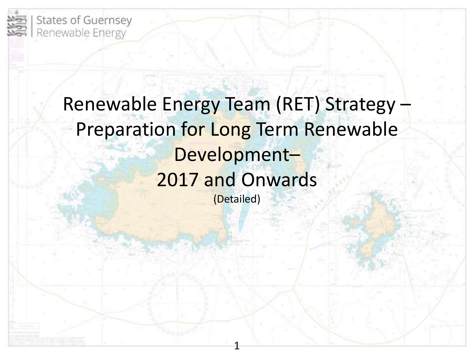

### Renewable Energy Team (RET) Strategy – Preparation for Long Term Renewable Development– 2017 and Onwards (Detailed)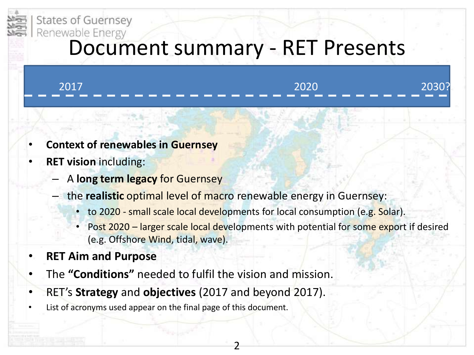

# Renewable Energy **Control Summary - RET Presents**

| 2017 | 2020                           |  |
|------|--------------------------------|--|
|      | ------------------------------ |  |

- **Context of renewables in Guernsey**
- **RET vision** including:
	- A **long term legacy** for Guernsey
	- the **realistic** optimal level of macro renewable energy in Guernsey:
		- to 2020 small scale local developments for local consumption (e.g. Solar).
		- Post 2020 larger scale local developments with potential for some export if desired (e.g. Offshore Wind, tidal, wave).
- **RET Aim and Purpose**
- The **"Conditions"** needed to fulfil the vision and mission.
- RET's **Strategy** and **objectives** (2017 and beyond 2017).
- List of acronyms used appear on the final page of this document.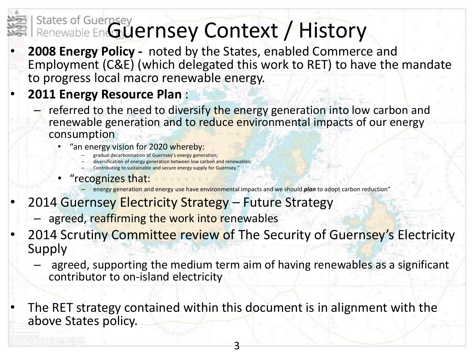# States of Guernsey<br>Renewable En**GUernsey Context / History**

• **2008 Energy Policy -** noted by the States, enabled Commerce and Employment (C&E) (which delegated this work to RET) to have the mandate to progress local macro renewable energy.

- **2011 Energy Resource Plan** :
	- referred to the need to diversify the energy generation into low carbon and renewable generation and to reduce environmental impacts of our energy consumption
		- "an energy vision for 2020 whereby:
			- gradual decarbonisation of Guernsey's energy generation;
			- diversification of energy generation between low carbon and renewables;
			- Contributing to sustainable and secure energy supply for Guernsey."
		- "recognizes that:

– energy generation and energy use have environmental impacts and we should *plan* to adopt carbon reduction"

- 2014 Guernsey Electricity Strategy Future Strategy
	- agreed, reaffirming the work into renewables

2014 Scrutiny Committee review of The Security of Guernsey's Electricity Supply

– agreed, supporting the medium term aim of having renewables as a significant contributor to on-island electricity

The RET strategy contained within this document is in alignment with the above States policy.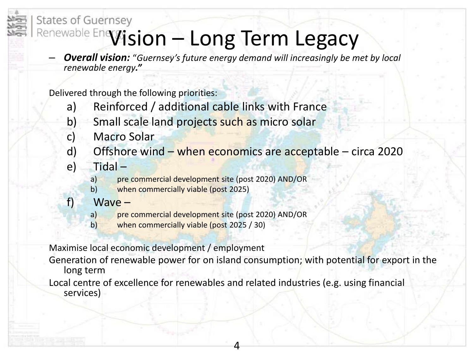### **States of Guernsey** Renewable Enevision - Long Term Legacy

– *Overall vision:* "*Guernsey's future energy demand will increasingly be met by local renewable energy."*

Delivered through the following priorities:

- a) Reinforced / additional cable links with France
- b) Small scale land projects such as micro solar
- c) Macro Solar
- d) Offshore wind  $-$  when economics are acceptable circa 2020
- e) Tidal
	- a) pre commercial development site (post 2020) AND/OR
	- b) when commercially viable (post 2025)
- f) Wave
	- a) pre commercial development site (post 2020) AND/OR
	- b) when commercially viable (post 2025 / 30)

Maximise local economic development / employment

Generation of renewable power for on island consumption; with potential for export in the long term

Local centre of excellence for renewables and related industries (e.g. using financial services)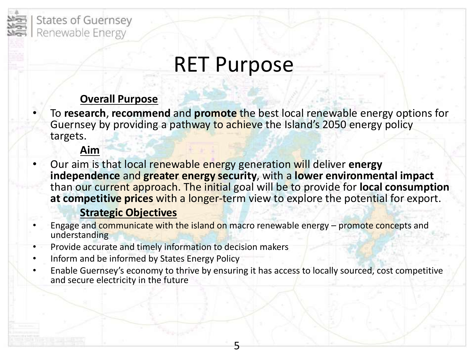

### RET Purpose

#### **Overall Purpose**

• To **research**, **recommend** and **promote** the best local renewable energy options for Guernsey by providing a pathway to achieve the Island's 2050 energy policy targets.

#### **Aim**

• Our aim is that local renewable energy generation will deliver **energy independence** and **greater energy security**, with a **lower environmental impact** than our current approach. The initial goal will be to provide for **local consumption at competitive prices** with a longer-term view to explore the potential for export.

#### **Strategic Objectives**

- Engage and communicate with the island on macro renewable energy promote concepts and understanding
- Provide accurate and timely information to decision makers
- Inform and be informed by States Energy Policy
- Enable Guernsey's economy to thrive by ensuring it has access to locally sourced, cost competitive and secure electricity in the future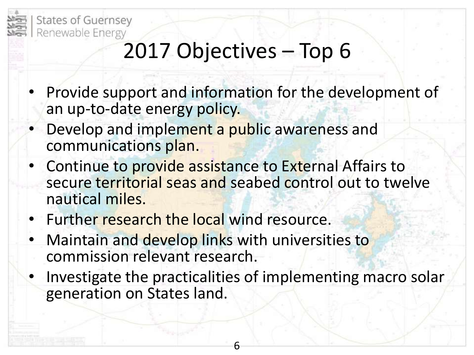

### 2017 Objectives – Top 6

- Provide support and information for the development of an up-to-date energy policy.
- Develop and implement a public awareness and communications plan.
- Continue to provide assistance to External Affairs to secure territorial seas and seabed control out to twelve nautical miles.
- Further research the local wind resource.
- Maintain and develop links with universities to commission relevant research.
- Investigate the practicalities of implementing macro solar generation on States land.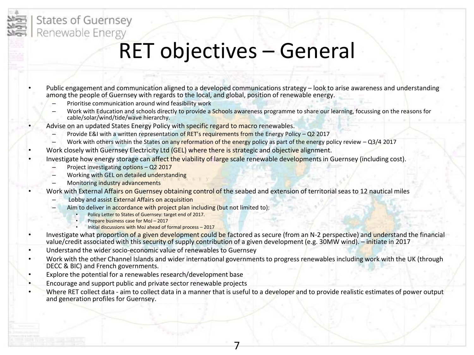### RET objectives – General

• Public engagement and communication aligned to a developed communications strategy – look to arise awareness and understanding among the people of Guernsey with regards to the local, and global, position of renewable energy.

- Prioritise communication around wind feasibility work
- Work with Education and schools directly to provide a Schools awareness programme to share our learning, focussing on the reasons for cable/solar/wind/tide/wave hierarchy.
- Advise on an updated States Energy Policy with specific regard to macro renewables.
	- Provide E&I with a written representation of RET's requirements from the Energy Policy Q2 2017
	- Work with others within the States on any reformation of the energy policy as part of the energy policy review  $-$  Q3/4 2017
- Work closely with Guernsey Electricity Ltd (GEL) where there is strategic and objective alignment.
- Investigate how energy storage can affect the viability of large scale renewable developments in Guernsey (including cost).
	- Project investigating options Q2 2017
	- Working with GEL on detailed understanding
	- Monitoring industry advancements
	- Work with External Affairs on Guernsey obtaining control of the seabed and extension of territorial seas to 12 nautical miles
		- Lobby and assist External Affairs on acquisition
		- Aim to deliver in accordance with project plan including (but not limited to):
			- Policy Letter to States of Guernsey: target end of 2017.
			- Prepare business case for MoJ 2017
			- Initial discussions with MoJ ahead of formal process 2017
- Investigate what proportion of a given development could be factored as secure (from an N-2 perspective) and understand the financial value/credit associated with this security of supply contribution of a given development (e.g. 30MW wind). – initiate in 2017
- Understand the wider socio-economic value of renewables to Guernsey
- Work with the other Channel Islands and wider international governments to progress renewables including work with the UK (through DECC & BIC) and French governments.
- Explore the potential for a renewables research/development base
- Encourage and support public and private sector renewable projects
- Where RET collect data aim to collect data in a manner that is useful to a developer and to provide realistic estimates of power output and generation profiles for Guernsey.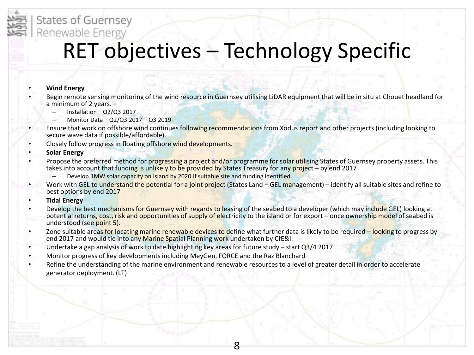

### RET objectives – Technology Specific

#### • **Wind Energy**

- Begin remote sensing monitoring of the wind resource in Guernsey utilising LiDAR equipment that will be in situ at Chouet headland for a minimum of 2 years. –
	- Installation Q2/Q3 2017
	- Monitor Data Q2/Q3 2017 Q3 2019
- Ensure that work on offshore wind continues following recommendations from Xodus report and other projects (including looking to secure wave data if possible/affordable).
- Closely follow progress in floating offshore wind developments.

• **Solar Energy**

- Propose the preferred method for progressing a project and/or programme for solar utilising States of Guernsey property assets. This takes into account that funding is unlikely to be provided by States Treasury for any project – by end 2017
	- Develop 1MW solar capacity on Island by 2020 if suitable site and funding identified.
- Work with GEL to understand the potential for a joint project (States Land GEL management) identify all suitable sites and refine to best options by end 2017
- **Tidal Energy**
- Develop the best mechanisms for Guernsey with regards to leasing of the seabed to a developer (which may include GEL) looking at potential returns, cost, risk and opportunities of supply of electricity to the island or for export – once ownership model of seabed is understood (see point 5).
- Zone suitable areas for locating marine renewable devices to define what further data is likely to be required looking to progress by end 2017 and would tie into any Marine Spatial Planning work undertaken by CfE&I.

- Undertake a gap analysis of work to date highlighting key areas for future study start Q3/4 2017
- Monitor progress of key developments including MeyGen, FORCE and the Raz Blanchard
- Refine the understanding of the marine environment and renewable resources to a level of greater detail in order to accelerate generator deployment. (LT)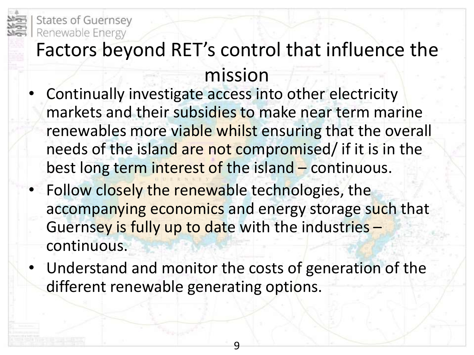

### Factors beyond RET's control that influence the mission

- Continually investigate access into other electricity markets and their subsidies to make near term marine renewables more viable whilst ensuring that the overall needs of the island are not compromised/ if it is in the best long term interest of the island – continuous.
- Follow closely the renewable technologies, the accompanying economics and energy storage such that Guernsey is fully up to date with the industries – continuous.
- Understand and monitor the costs of generation of the different renewable generating options.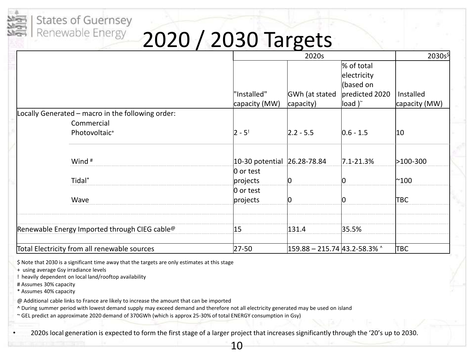## 2020 / 2030 Targets

|                                                   |                              | 2020s                          |                                                                             | 2030s\$                    |
|---------------------------------------------------|------------------------------|--------------------------------|-----------------------------------------------------------------------------|----------------------------|
|                                                   | "Installed"<br>capacity (MW) | GWh (at stated<br>capacity)    | % of total<br>electricity<br>(based on<br>predicted 2020<br>load $)^{\sim}$ | Installed<br>capacity (MW) |
| Locally Generated - macro in the following order: |                              |                                |                                                                             |                            |
| Commercial<br>Photovoltaic <sup>+</sup>           | $ 2 - 5 $                    | $ 2.2 - 5.5 $                  | $ 0.6 - 1.5 $                                                               | 10                         |
| Wind <sup>#</sup>                                 | 10-30 potential 26.28-78.84  |                                | $7.1 - 21.3%$                                                               | >100-300                   |
| Tidal*                                            | $ 0$ or test<br>projects     |                                |                                                                             | $^{\sim}$ 100              |
| Wave                                              | $0$ or test<br>projects      |                                |                                                                             | ТВС                        |
| Renewable Energy Imported through CIEG cable@     | 15                           | 131.4                          | 35.5%                                                                       |                            |
| Total Electricity from all renewable sources      | $27 - 50$                    | $159.88 - 215.74$ 43.2-58.3% ^ |                                                                             | TBC                        |

\$ Note that 2030 is a significant time away that the targets are only estimates at this stage

+ using average Gsy irradiance levels

! heavily dependent on local land/rooftop availability

**States of Guernsey** Renewable Energy

# Assumes 30% capacity

\* Assumes 40% capacity

@ Additional cable links to France are likely to increase the amount that can be imported

^ During summer period with lowest demand supply may exceed demand and therefore not all electricity generated may be used on island

~ GEL predict an approximate 2020 demand of 370GWh (which is approx 25-30% of total ENERGY consumption in Gsy)

• 2020s local generation is expected to form the first stage of a larger project that increases significantly through the '20's up to 2030.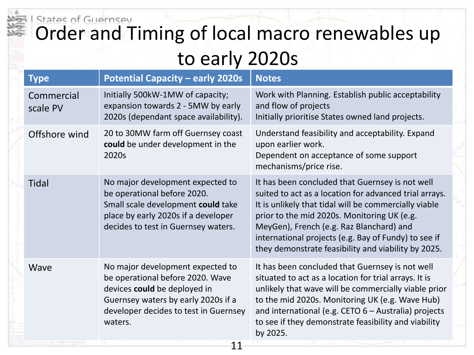### States of Guernsey Order and Timing of local macro renewables up to early 2020s

| <b>Type</b>            | <b>Potential Capacity - early 2020s</b>                                                                                                                                                         | <b>Notes</b>                                                                                                                                                                                                                                                                                                                                                                 |  |  |  |
|------------------------|-------------------------------------------------------------------------------------------------------------------------------------------------------------------------------------------------|------------------------------------------------------------------------------------------------------------------------------------------------------------------------------------------------------------------------------------------------------------------------------------------------------------------------------------------------------------------------------|--|--|--|
| Commercial<br>scale PV | Initially 500kW-1MW of capacity;<br>expansion towards 2 - 5MW by early<br>2020s (dependant space availability).                                                                                 | Work with Planning. Establish public acceptability<br>and flow of projects<br>Initially prioritise States owned land projects.                                                                                                                                                                                                                                               |  |  |  |
| Offshore wind          | 20 to 30MW farm off Guernsey coast<br>could be under development in the<br>2020s                                                                                                                | Understand feasibility and acceptability. Expand<br>upon earlier work.<br>Dependent on acceptance of some support<br>mechanisms/price rise.                                                                                                                                                                                                                                  |  |  |  |
| <b>Tidal</b>           | No major development expected to<br>be operational before 2020.<br>Small scale development could take<br>place by early 2020s if a developer<br>decides to test in Guernsey waters.             | It has been concluded that Guernsey is not well<br>suited to act as a location for advanced trial arrays.<br>It is unlikely that tidal will be commercially viable<br>prior to the mid 2020s. Monitoring UK (e.g.<br>MeyGen), French (e.g. Raz Blanchard) and<br>international projects (e.g. Bay of Fundy) to see if<br>they demonstrate feasibility and viability by 2025. |  |  |  |
| Wave                   | No major development expected to<br>be operational before 2020. Wave<br>devices could be deployed in<br>Guernsey waters by early 2020s if a<br>developer decides to test in Guernsey<br>waters. | It has been concluded that Guernsey is not well<br>situated to act as a location for trial arrays. It is<br>unlikely that wave will be commercially viable prior<br>to the mid 2020s. Monitoring UK (e.g. Wave Hub)<br>and international (e.g. CETO 6 - Australia) projects<br>to see if they demonstrate feasibility and viability<br>by 2025.                              |  |  |  |
|                        | 11                                                                                                                                                                                              |                                                                                                                                                                                                                                                                                                                                                                              |  |  |  |
|                        |                                                                                                                                                                                                 |                                                                                                                                                                                                                                                                                                                                                                              |  |  |  |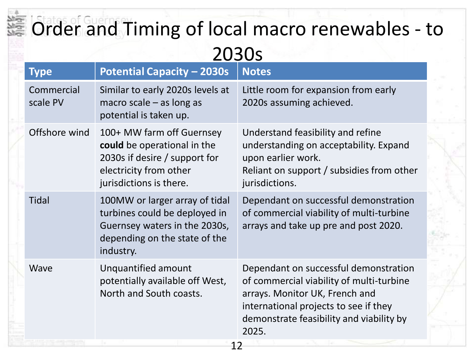## Order and Timing of local macro renewables - to 2030s

|    | <b>Type</b>                                                                               | <b>Potential Capacity - 2030s</b>                                                                                                              | <b>Notes</b>                                                                                                                                                                                                      |  |  |
|----|-------------------------------------------------------------------------------------------|------------------------------------------------------------------------------------------------------------------------------------------------|-------------------------------------------------------------------------------------------------------------------------------------------------------------------------------------------------------------------|--|--|
|    | Commercial<br>scale PV                                                                    | Similar to early 2020s levels at<br>macro scale $-$ as long as<br>potential is taken up.                                                       | Little room for expansion from early<br>2020s assuming achieved.                                                                                                                                                  |  |  |
|    | Offshore wind                                                                             | 100+ MW farm off Guernsey<br>could be operational in the<br>2030s if desire / support for<br>electricity from other<br>jurisdictions is there. | Understand feasibility and refine<br>understanding on acceptability. Expand<br>upon earlier work.<br>Reliant on support / subsidies from other<br>jurisdictions.                                                  |  |  |
|    | <b>Tidal</b>                                                                              | 100MW or larger array of tidal<br>turbines could be deployed in<br>Guernsey waters in the 2030s,<br>depending on the state of the<br>industry. | Dependant on successful demonstration<br>of commercial viability of multi-turbine<br>arrays and take up pre and post 2020.                                                                                        |  |  |
|    | Unquantified amount<br>Wave<br>potentially available off West,<br>North and South coasts. |                                                                                                                                                | Dependant on successful demonstration<br>of commercial viability of multi-turbine<br>arrays. Monitor UK, French and<br>international projects to see if they<br>demonstrate feasibility and viability by<br>2025. |  |  |
| 12 |                                                                                           |                                                                                                                                                |                                                                                                                                                                                                                   |  |  |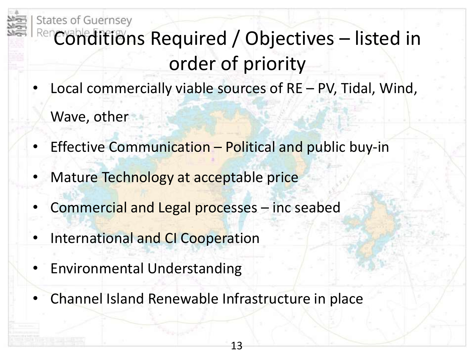

- Local commercially viable sources of RE PV, Tidal, Wind, Wave, other
- Effective Communication Political and public buy-in
- Mature Technology at acceptable price
- Commercial and Legal processes inc seabed
- International and CI Cooperation
- Environmental Understanding
	- Channel Island Renewable Infrastructure in place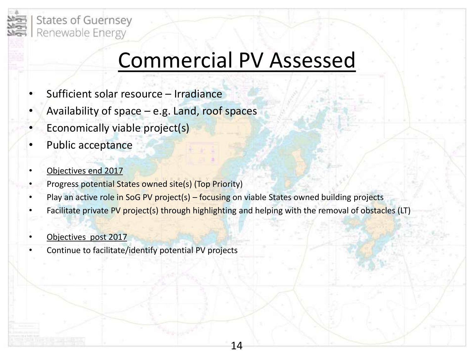

### Commercial PV Assessed

- Sufficient solar resource Irradiance
- Availability of space  $-e.g.$  Land, roof spaces
- Economically viable project(s)
- Public acceptance
- Objectives end 2017
- Progress potential States owned site(s) (Top Priority)
- Play an active role in SoG PV project(s) focusing on viable States owned building projects
- Facilitate private PV project(s) through highlighting and helping with the removal of obstacles (LT)

- Objectives post 2017
- Continue to facilitate/identify potential PV projects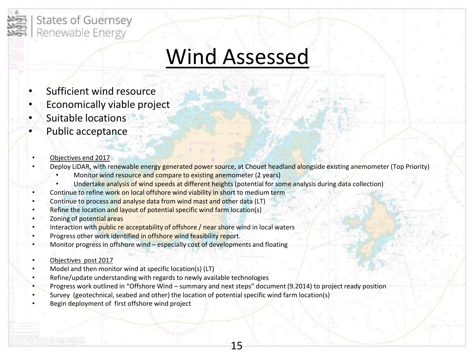

### Wind Assessed

- Sufficient wind resource
- Economically viable project
- Suitable locations
- Public acceptance
- Objectives end 2017
- Deploy LiDAR, with renewable energy generated power source, at Chouet headland alongside existing anemometer (Top Priority)
	- Monitor wind resource and compare to existing anemometer (2 years)
	- Undertake analysis of wind speeds at different heights (potential for some analysis during data collection)
- Continue to refine work on local offshore wind viability in short to medium term
- Continue to process and analyse data from wind mast and other data (LT)
- Refine the location and layout of potential specific wind farm location(s)
- Zoning of potential areas
- Interaction with public re acceptability of offshore / near shore wind in local waters
- Progress other work identified in offshore wind feasibility report.
- Monitor progress in offshore wind  $-$  especially cost of developments and floating
- Objectives post 2017
- Model and then monitor wind at specific location(s) (LT)
- Refine/update understanding with regards to newly available technologies
- Progress work outlined in "Offshore Wind summary and next steps" document (9.2014) to project ready position

- Survey (geotechnical, seabed and other) the location of potential specific wind farm location(s)
- Begin deployment of first offshore wind project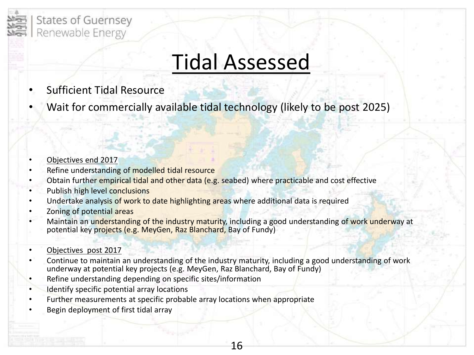

### Tidal Assessed

- Sufficient Tidal Resource
- Wait for commercially available tidal technology (likely to be post 2025)

#### • Objectives end 2017

- Refine understanding of modelled tidal resource
- Obtain further empirical tidal and other data (e.g. seabed) where practicable and cost effective
- Publish high level conclusions
- Undertake analysis of work to date highlighting areas where additional data is required
- Zoning of potential areas
- Maintain an understanding of the industry maturity, including a good understanding of work underway at potential key projects (e.g. MeyGen, Raz Blanchard, Bay of Fundy)

#### • Objectives post 2017

• Continue to maintain an understanding of the industry maturity, including a good understanding of work underway at potential key projects (e.g. MeyGen, Raz Blanchard, Bay of Fundy)

- Refine understanding depending on specific sites/information
- Identify specific potential array locations
- Further measurements at specific probable array locations when appropriate
- Begin deployment of first tidal array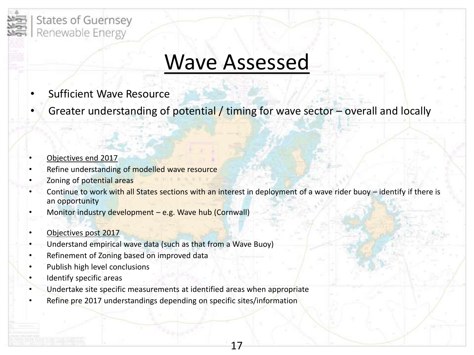

### Wave Assessed

- **Sufficient Wave Resource**
- Greater understanding of potential / timing for wave sector overall and locally
- Objectives end 2017
- Refine understanding of modelled wave resource
- Zoning of potential areas
- Continue to work with all States sections with an interest in deployment of a wave rider buoy identify if there is an opportunity

- Monitor industry development e.g. Wave hub (Cornwall)
- Objectives post 2017
- Understand empirical wave data (such as that from a Wave Buoy)
- Refinement of Zoning based on improved data
- Publish high level conclusions
- Identify specific areas
- Undertake site specific measurements at identified areas when appropriate
- Refine pre 2017 understandings depending on specific sites/information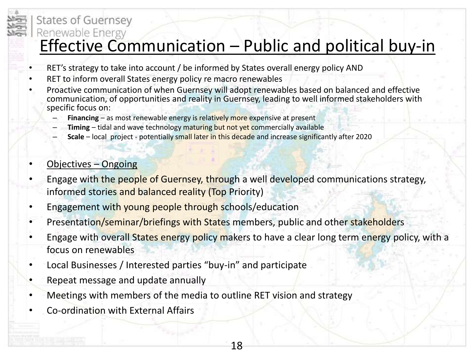### **States of Guernsey**

# Renewable Energy<br>
Effective Communication – Public and political buy-in

- RET's strategy to take into account / be informed by States overall energy policy AND
- RET to inform overall States energy policy re macro renewables
- Proactive communication of when Guernsey will adopt renewables based on balanced and effective communication, of opportunities and reality in Guernsey, leading to well informed stakeholders with specific focus on:
	- **Financing** as most renewable energy is relatively more expensive at present
	- **Timing** tidal and wave technology maturing but not yet commercially available
	- **Scale** local project potentially small later in this decade and increase significantly after 2020
- Objectives Ongoing
- Engage with the people of Guernsey, through a well developed communications strategy, informed stories and balanced reality (Top Priority)
- Engagement with young people through schools/education
- Presentation/seminar/briefings with States members, public and other stakeholders
- Engage with overall States energy policy makers to have a clear long term energy policy, with a focus on renewables

- Local Businesses / Interested parties "buy-in" and participate
- Repeat message and update annually
- Meetings with members of the media to outline RET vision and strategy
- Co-ordination with External Affairs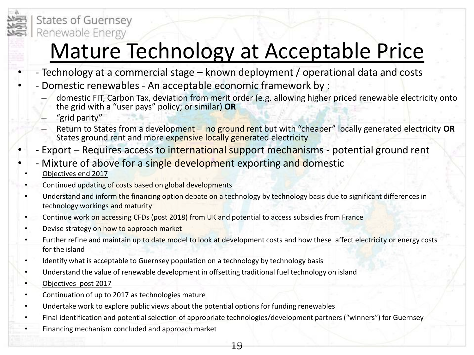

### Mature Technology at Acceptable Price

- - Technology at a commercial stage known deployment / operational data and costs
- - Domestic renewables An acceptable economic framework by :
	- domestic FIT, Carbon Tax, deviation from merit order (e.g. allowing higher priced renewable electricity onto the grid with a "user pays" policy; or similar) **OR**
	- "grid parity"
	- Return to States from a development no ground rent but with "cheaper" locally generated electricity **OR** States ground rent and more expensive locally generated electricity
- Export Requires access to international support mechanisms potential ground rent
- Mixture of above for a single development exporting and domestic
- Objectives end 2017
- Continued updating of costs based on global developments
- Understand and inform the financing option debate on a technology by technology basis due to significant differences in technology workings and maturity
- Continue work on accessing CFDs (post 2018) from UK and potential to access subsidies from France
- Devise strategy on how to approach market
- Further refine and maintain up to date model to look at development costs and how these affect electricity or energy costs for the island
- Identify what is acceptable to Guernsey population on a technology by technology basis
- Understand the value of renewable development in offsetting traditional fuel technology on island
- Objectives post 2017
- Continuation of up to 2017 as technologies mature
- Undertake work to explore public views about the potential options for funding renewables
- Final identification and potential selection of appropriate technologies/development partners ("winners") for Guernsey
- Financing mechanism concluded and approach market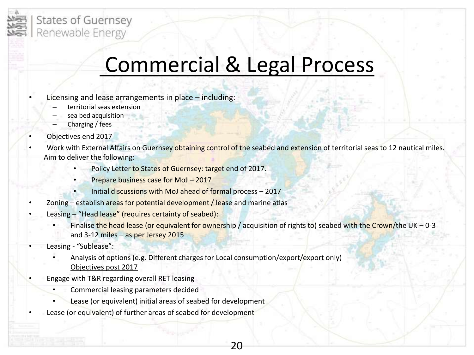

### Commercial & Legal Process

- Licensing and lease arrangements in place including:
	- territorial seas extension
	- sea bed acquisition
	- Charging / fees
- Objectives end 2017
- Work with External Affairs on Guernsey obtaining control of the seabed and extension of territorial seas to 12 nautical miles. Aim to deliver the following:
	- Policy Letter to States of Guernsey: target end of 2017.
	- Prepare business case for MoJ 2017
	- Initial discussions with MoJ ahead of formal process 2017
- Zoning establish areas for potential development / lease and marine atlas
- Leasing "Head lease" (requires certainty of seabed):
	- Finalise the head lease (or equivalent for ownership / acquisition of rights to) seabed with the Crown/the UK 0-3 and 3-12 miles – as per Jersey 2015

- Leasing "Sublease":
	- Analysis of options (e.g. Different charges for Local consumption/export/export only) Objectives post 2017
- Engage with T&R regarding overall RET leasing
	- Commercial leasing parameters decided
	- Lease (or equivalent) initial areas of seabed for development
- Lease (or equivalent) of further areas of seabed for development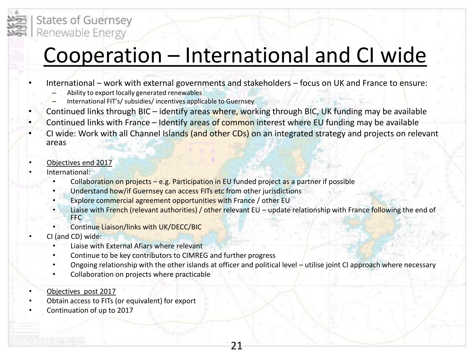

### Cooperation – International and CI wide

- International work with external governments and stakeholders focus on UK and France to ensure:
	- Ability to export locally generated renewables
	- International FIT's/ subsidies/ incentives applicable to Guernsey
- Continued links through BIC identify areas where, working through BIC, UK funding may be available
- Continued links with France Identify areas of common interest where EU funding may be available
- CI wide: Work with all Channel Islands (and other CDs) on an integrated strategy and projects on relevant areas
- Objectives end 2017
- International:
	- Collaboration on projects e.g. Participation in EU funded project as a partner if possible
	- Understand how/if Guernsey can access FITs etc from other jurisdictions
	- Explore commercial agreement opportunities with France / other EU
	- Liaise with French (relevant authorities) / other relevant EU update relationship with France following the end of FFC
	- Continue Liaison/links with UK/DECC/BIC
	- CI (and CD) wide:
		- Liaise with External Afiars where relevant
		- Continue to be key contributors to CIMREG and further progress
		- Ongoing relationship with the other islands at officer and political level utilise joint CI approach where necessary

- Collaboration on projects where practicable
- Objectives post 2017
- Obtain access to FITs (or equivalent) for export
- Continuation of up to 2017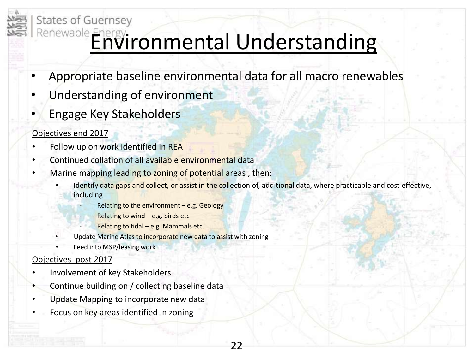

- Appropriate baseline environmental data for all macro renewables
- Understanding of environment
- Engage Key Stakeholders

#### Objectives end 2017

**States of Guernsey** 

- Follow up on work identified in REA
- Continued collation of all available environmental data
- Marine mapping leading to zoning of potential areas, then:
	- Identify data gaps and collect, or assist in the collection of, additional data, where practicable and cost effective, including –

22

- ‐ Relating to the environment e.g. Geology
- Relating to wind  $-$  e.g. birds etc
	- Relating to tidal e.g. Mammals etc.
- Update Marine Atlas to incorporate new data to assist with zoning
- Feed into MSP/leasing work

#### Objectives post 2017

- Involvement of key Stakeholders
- Continue building on / collecting baseline data
- Update Mapping to incorporate new data
- Focus on key areas identified in zoning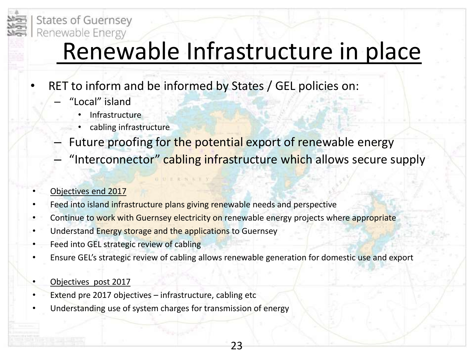

## Renewable Infrastructure in place

- RET to inform and be informed by States / GEL policies on:
	- "Local" island
		- **Infrastructure**
		- cabling infrastructure
	- Future proofing for the potential export of renewable energy
	- "Interconnector" cabling infrastructure which allows secure supply

#### • Objectives end 2017

- Feed into island infrastructure plans giving renewable needs and perspective
- Continue to work with Guernsey electricity on renewable energy projects where appropriate
- Understand Energy storage and the applications to Guernsey
- Feed into GEL strategic review of cabling
- Ensure GEL's strategic review of cabling allows renewable generation for domestic use and export

- Objectives post 2017
- Extend pre 2017 objectives infrastructure, cabling etc
- Understanding use of system charges for transmission of energy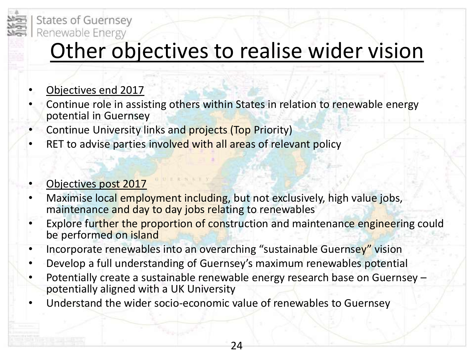

### Other objectives to realise wider vision

- Objectives end 2017
- Continue role in assisting others within States in relation to renewable energy potential in Guernsey
- Continue University links and projects (Top Priority)
- RET to advise parties involved with all areas of relevant policy

#### • Objectives post 2017

- Maximise local employment including, but not exclusively, high value jobs, maintenance and day to day jobs relating to renewables
- Explore further the proportion of construction and maintenance engineering could be performed on island
- Incorporate renewables into an overarching "sustainable Guernsey" vision
- Develop a full understanding of Guernsey's maximum renewables potential
- Potentially create a sustainable renewable energy research base on Guernsey potentially aligned with a UK University

24

• Understand the wider socio-economic value of renewables to Guernsey